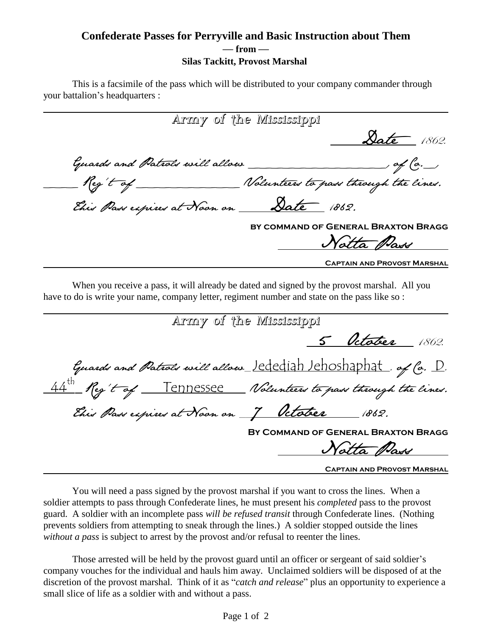## **Confederate Passes for Perryville and Basic Instruction about Them <sup>ó</sup> from <sup>ó</sup> Silas Tackitt, Provost Marshal**

This is a facsimile of the pass which will be distributed to your company commander through This is a facsimile of the pas<br>your battalion's headquarters :

Army of the Mississippi Date 1862. Guards and Patrols will allow \_\_\_\_\_\_\_\_\_\_\_\_, of Co.\_, Reg't of \_\_\_\_\_\_\_ Nolunteers to pass through the lines. This Pass expires at Noon on Date 1862. **by command of General Braxton Bragg** Notta Pass **Captain and Provost Marshal**

When you receive a pass, it will already be dated and signed by the provost marshal. All you have to do is write your name, company letter, regiment number and state on the pass like so :

| Army of the Mississippi                                       |                                    |
|---------------------------------------------------------------|------------------------------------|
|                                                               | <u>5 October</u> 1862.             |
| Guards and Patrols will allow_lededigh lehoshaphat, of Co. D. |                                    |
| 44th Reg't of Tennessee Nolunteers to pass through the lines. |                                    |
| This Pass expires at Noon on 7 October 1862.                  |                                    |
| BY COMMAND OF GENERAL BRAXTON BRAGG                           |                                    |
|                                                               | Notta Pass                         |
|                                                               | <b>CAPTAIN AND PROVOST MARSHAL</b> |

You will need a pass signed by the provost marshal if you want to cross the lines. When a soldier attempts to pass through Confederate lines, he must present his *completed* pass to the provost guard. A soldier with an incomplete pass *will be refused transit* through Confederate lines. (Nothing prevents soldiers from attempting to sneak through the lines.) A soldier stopped outside the lines *without a pass* is subject to arrest by the provost and/or refusal to reenter the lines.

Those arrested will be held by the provost guard until an officer or sergeant of said soldier's company vouches for the individual and hauls him away. Unclaimed soldiers will be disposed of at the discretion of the provost marshal. Think of it as "*catch and release*" plus an opportunity to experience a small slice of life as a soldier with and without a pass.